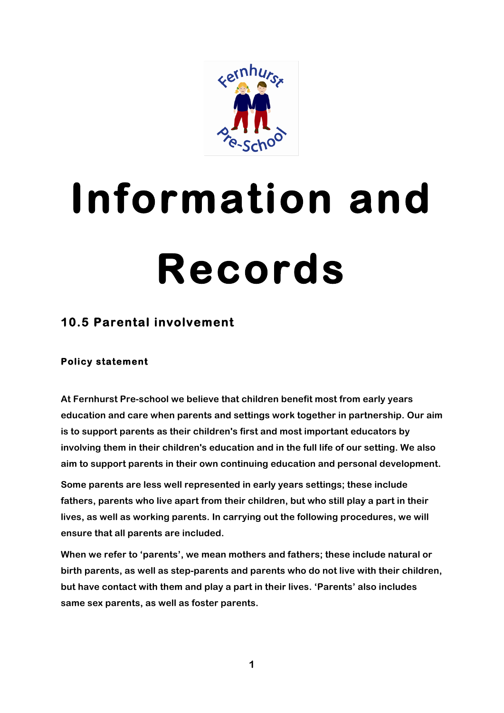

# **Information and Records**

# **10.5 Parental involvement**

## **Policy statement**

**At Fernhurst Pre-school we believe that children benefit most from early years education and care when parents and settings work together in partnership. Our aim is to support parents as their children's first and most important educators by involving them in their children's education and in the full life of our setting. We also aim to support parents in their own continuing education and personal development.**

**Some parents are less well represented in early years settings; these include fathers, parents who live apart from their children, but who still play a part in their lives, as well as working parents. In carrying out the following procedures, we will ensure that all parents are included.**

**When we refer to 'parents', we mean mothers and fathers; these include natural or birth parents, as well as step-parents and parents who do not live with their children, but have contact with them and play a part in their lives. 'Parents' also includes same sex parents, as well as foster parents.**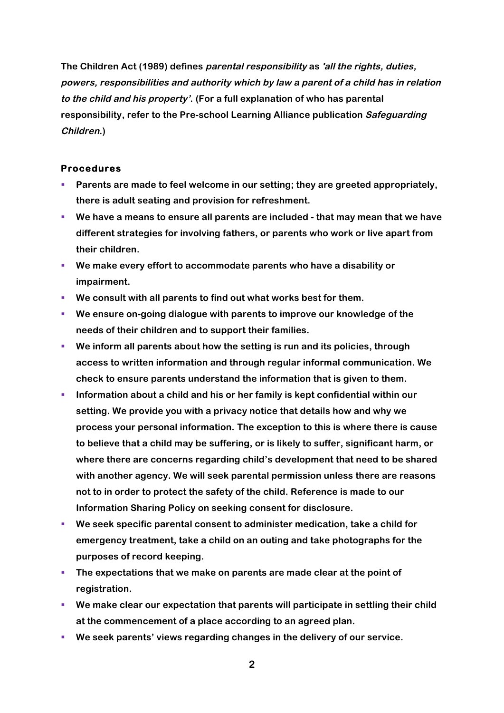**The Children Act (1989) defines parental responsibility as 'all the rights, duties, powers, responsibilities and authority which by law a parent of a child has in relation to the child and his property'. (For a full explanation of who has parental responsibility, refer to the Pre-school Learning Alliance publication Safeguarding Children.)**

#### **Procedures**

- § **Parents are made to feel welcome in our setting; they are greeted appropriately, there is adult seating and provision for refreshment.**
- § **We have a means to ensure all parents are included - that may mean that we have different strategies for involving fathers, or parents who work or live apart from their children.**
- § **We make every effort to accommodate parents who have a disability or impairment.**
- § **We consult with all parents to find out what works best for them.**
- § **We ensure on-going dialogue with parents to improve our knowledge of the needs of their children and to support their families.**
- § **We inform all parents about how the setting is run and its policies, through access to written information and through regular informal communication. We check to ensure parents understand the information that is given to them.**
- § **Information about a child and his or her family is kept confidential within our setting. We provide you with a privacy notice that details how and why we process your personal information. The exception to this is where there is cause to believe that a child may be suffering, or is likely to suffer, significant harm, or where there are concerns regarding child's development that need to be shared with another agency. We will seek parental permission unless there are reasons not to in order to protect the safety of the child. Reference is made to our Information Sharing Policy on seeking consent for disclosure.**
- § **We seek specific parental consent to administer medication, take a child for emergency treatment, take a child on an outing and take photographs for the purposes of record keeping.**
- § **The expectations that we make on parents are made clear at the point of registration.**
- § **We make clear our expectation that parents will participate in settling their child at the commencement of a place according to an agreed plan.**
- § **We seek parents' views regarding changes in the delivery of our service.**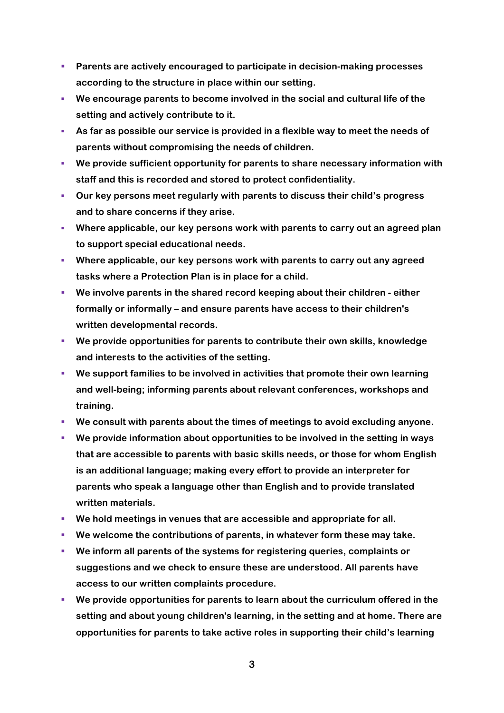- § **Parents are actively encouraged to participate in decision-making processes according to the structure in place within our setting.**
- § **We encourage parents to become involved in the social and cultural life of the setting and actively contribute to it.**
- § **As far as possible our service is provided in a flexible way to meet the needs of parents without compromising the needs of children.**
- § **We provide sufficient opportunity for parents to share necessary information with staff and this is recorded and stored to protect confidentiality.**
- § **Our key persons meet regularly with parents to discuss their child's progress and to share concerns if they arise.**
- § **Where applicable, our key persons work with parents to carry out an agreed plan to support special educational needs.**
- § **Where applicable, our key persons work with parents to carry out any agreed tasks where a Protection Plan is in place for a child.**
- § **We involve parents in the shared record keeping about their children - either formally or informally – and ensure parents have access to their children's written developmental records.**
- § **We provide opportunities for parents to contribute their own skills, knowledge and interests to the activities of the setting.**
- § **We support families to be involved in activities that promote their own learning and well-being; informing parents about relevant conferences, workshops and training.**
- § **We consult with parents about the times of meetings to avoid excluding anyone.**
- § **We provide information about opportunities to be involved in the setting in ways that are accessible to parents with basic skills needs, or those for whom English is an additional language; making every effort to provide an interpreter for parents who speak a language other than English and to provide translated written materials.**
- § **We hold meetings in venues that are accessible and appropriate for all.**
- We welcome the contributions of parents, in whatever form these may take.
- § **We inform all parents of the systems for registering queries, complaints or suggestions and we check to ensure these are understood. All parents have access to our written complaints procedure.**
- § **We provide opportunities for parents to learn about the curriculum offered in the setting and about young children's learning, in the setting and at home. There are opportunities for parents to take active roles in supporting their child's learning**